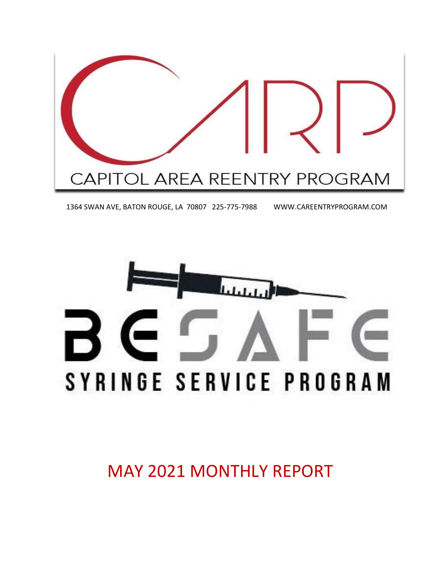

1364 SWAN AVE, BATON ROUGE, LA 70807 225-775-7988 WWW.CAREENTRYPROGRAM.COM



MAY 2021 MONTHLY REPORT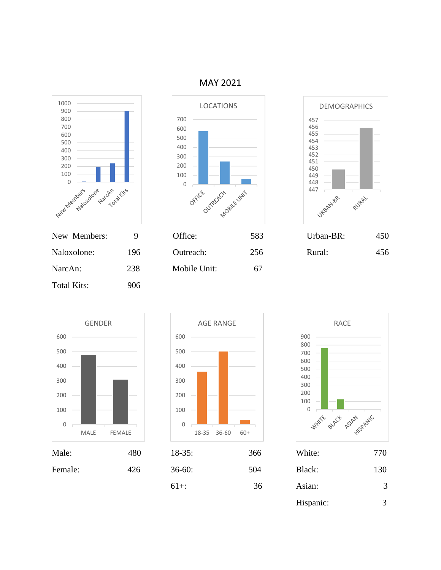

| New Members: |     |
|--------------|-----|
| Naloxolone:  | 196 |
| NarcAn:      | 238 |
| Total Kits:  | 906 |
|              |     |



|             |     | <u>.</u>     | ັັ  |        | $\sim$ $\sim$ |
|-------------|-----|--------------|-----|--------|---------------|
| Naloxolone: | 196 | Outreach:    | 256 | Rural: | 456           |
| NarcAn:     | 238 | Mobile Unit: | 67  |        |               |













| Male:   | 480 | $18-35:$ | 366 | White:    | 770 |
|---------|-----|----------|-----|-----------|-----|
| Female: | 426 | $36-60:$ | 504 | Black:    | 130 |
|         |     | $61+$ :  | 36  | Asian:    | 3   |
|         |     |          |     | Hispanic: | 3   |

MAY 2021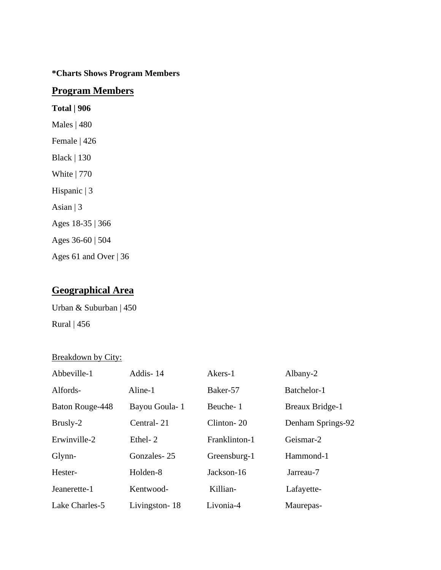#### **\*Charts Shows Program Members**

#### **Program Members**

**Total | 906** Males | 480 Female | 426 Black | 130 White | 770 Hispanic | 3 Asian | 3 Ages 18-35 | 366 Ages 36-60 | 504 Ages 61 and Over | 36

## **Geographical Area**

Urban & Suburban | 450 Rural | 456

Breakdown by City:

| Abbeville-1     | Addis-14      | Akers-1       | Albany-2               |
|-----------------|---------------|---------------|------------------------|
| Alfords-        | Aline-1       | Baker-57      | Batchelor-1            |
| Baton Rouge-448 | Bayou Goula-1 | Beuche-1      | <b>Breaux Bridge-1</b> |
| Brusly-2        | Central-21    | Clinton-20    | Denham Springs-92      |
| Erwinville-2    | Ethel-2       | Franklinton-1 | Geismar-2              |
| Glynn-          | Gonzales-25   | Greensburg-1  | Hammond-1              |
| Hester-         | Holden-8      | Jackson-16    | Jarreau-7              |
| Jeanerette-1    | Kentwood-     | Killian-      | Lafayette-             |
| Lake Charles-5  | Livingston-18 | Livonia-4     | Maurepas-              |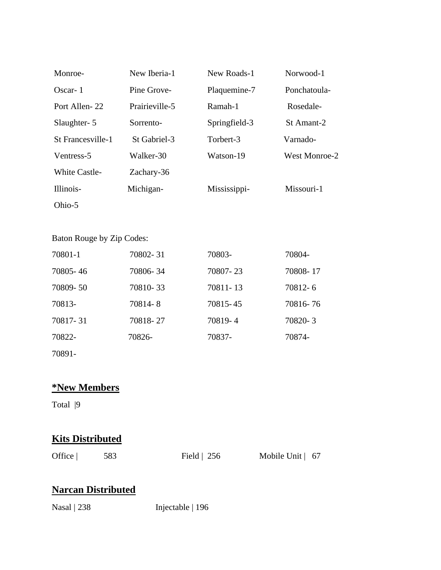| Monroe-              | New Iberia-1   | New Roads-1   | Norwood-1            |
|----------------------|----------------|---------------|----------------------|
| Oscar-1              | Pine Grove-    | Plaquemine-7  | Ponchatoula-         |
| Port Allen-22        | Prairieville-5 | Ramah-1       | Rosedale-            |
| Slaughter- 5         | Sorrento-      | Springfield-3 | St Amant-2           |
| St Francesville-1    | St Gabriel-3   | Torbert-3     | Varnado-             |
| Ventress-5           | Walker-30      | Watson-19     | <b>West Monroe-2</b> |
| <b>White Castle-</b> | Zachary-36     |               |                      |
| Illinois-            | Michigan-      | Mississippi-  | Missouri-1           |
| Ohio-5               |                |               |                      |

## Baton Rouge by Zip Codes:

| 70801-1  | 70802-31 | 70803-   | 70804-   |
|----------|----------|----------|----------|
| 70805-46 | 70806-34 | 70807-23 | 70808-17 |
| 70809-50 | 70810-33 | 70811-13 | 70812-6  |
| 70813-   | 70814-8  | 70815-45 | 70816-76 |
| 70817-31 | 70818-27 | 70819-4  | 70820-3  |
| 70822-   | 70826-   | 70837-   | 70874-   |
| 70891-   |          |          |          |

# **\*New Members**

Total |9

## **Kits Distributed**

| Office | 583 | Field $\vert$ 256 | Mobile Unit   67 |  |
|--------|-----|-------------------|------------------|--|
|        |     |                   |                  |  |

## **Narcan Distributed**

Nasal | 238 Injectable | 196